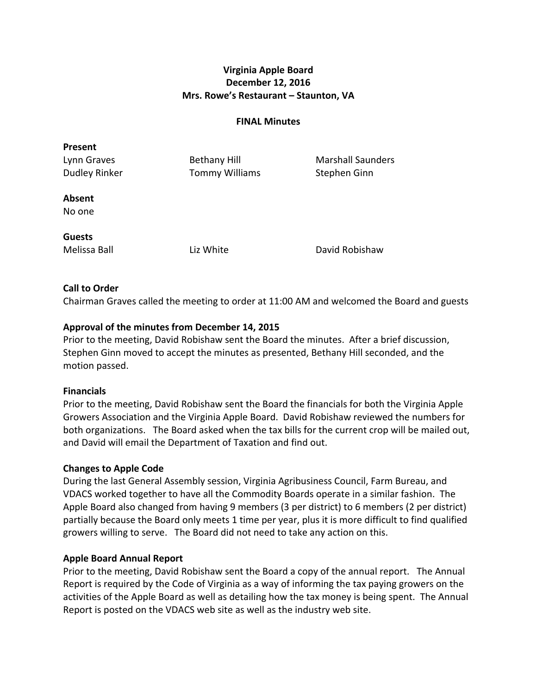# **Virginia Apple Board December 12, 2016 Mrs. Rowe's Restaurant - Staunton, VA**

#### **FINAL Minutes**

| <b>Present</b>       |                       |                          |
|----------------------|-----------------------|--------------------------|
| Lynn Graves          | <b>Bethany Hill</b>   | <b>Marshall Saunders</b> |
| <b>Dudley Rinker</b> | <b>Tommy Williams</b> | Stephen Ginn             |
| <b>Absent</b>        |                       |                          |
| No one               |                       |                          |
| <b>Guests</b>        |                       |                          |
| Melissa Ball         | Liz White             | David Robishaw           |

### **Call to Order**

Chairman Graves called the meeting to order at 11:00 AM and welcomed the Board and guests

#### Approval of the minutes from December 14, 2015

Prior to the meeting, David Robishaw sent the Board the minutes. After a brief discussion, Stephen Ginn moved to accept the minutes as presented, Bethany Hill seconded, and the motion passed.

#### **Financials**

Prior to the meeting, David Robishaw sent the Board the financials for both the Virginia Apple Growers Association and the Virginia Apple Board. David Robishaw reviewed the numbers for both organizations. The Board asked when the tax bills for the current crop will be mailed out, and David will email the Department of Taxation and find out.

#### **Changes to Apple Code**

During the last General Assembly session, Virginia Agribusiness Council, Farm Bureau, and VDACS worked together to have all the Commodity Boards operate in a similar fashion. The Apple Board also changed from having 9 members (3 per district) to 6 members (2 per district) partially because the Board only meets 1 time per year, plus it is more difficult to find qualified growers willing to serve. The Board did not need to take any action on this.

#### **Apple Board Annual Report**

Prior to the meeting, David Robishaw sent the Board a copy of the annual report. The Annual Report is required by the Code of Virginia as a way of informing the tax paying growers on the activities of the Apple Board as well as detailing how the tax money is being spent. The Annual Report is posted on the VDACS web site as well as the industry web site.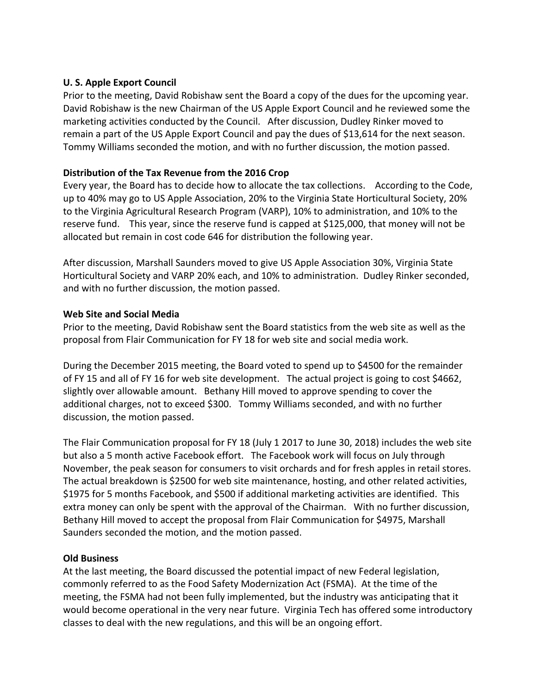### **U. S. Apple Export Council**

Prior to the meeting, David Robishaw sent the Board a copy of the dues for the upcoming year. David Robishaw is the new Chairman of the US Apple Export Council and he reviewed some the marketing activities conducted by the Council. After discussion, Dudley Rinker moved to remain a part of the US Apple Export Council and pay the dues of \$13,614 for the next season. Tommy Williams seconded the motion, and with no further discussion, the motion passed.

# Distribution of the Tax Revenue from the 2016 Crop

Every year, the Board has to decide how to allocate the tax collections. According to the Code, up to 40% may go to US Apple Association, 20% to the Virginia State Horticultural Society, 20% to the Virginia Agricultural Research Program (VARP), 10% to administration, and 10% to the reserve fund. This year, since the reserve fund is capped at \$125,000, that money will not be allocated but remain in cost code 646 for distribution the following year.

After discussion, Marshall Saunders moved to give US Apple Association 30%, Virginia State Horticultural Society and VARP 20% each, and 10% to administration. Dudley Rinker seconded, and with no further discussion, the motion passed.

# **Web Site and Social Media**

Prior to the meeting, David Robishaw sent the Board statistics from the web site as well as the proposal from Flair Communication for FY 18 for web site and social media work.

During the December 2015 meeting, the Board voted to spend up to \$4500 for the remainder of FY 15 and all of FY 16 for web site development. The actual project is going to cost \$4662, slightly over allowable amount. Bethany Hill moved to approve spending to cover the additional charges, not to exceed \$300. Tommy Williams seconded, and with no further discussion, the motion passed.

The Flair Communication proposal for FY 18 (July 1 2017 to June 30, 2018) includes the web site but also a 5 month active Facebook effort. The Facebook work will focus on July through November, the peak season for consumers to visit orchards and for fresh apples in retail stores. The actual breakdown is \$2500 for web site maintenance, hosting, and other related activities, \$1975 for 5 months Facebook, and \$500 if additional marketing activities are identified. This extra money can only be spent with the approval of the Chairman. With no further discussion, Bethany Hill moved to accept the proposal from Flair Communication for \$4975, Marshall Saunders seconded the motion, and the motion passed.

### **Old Business**

At the last meeting, the Board discussed the potential impact of new Federal legislation, commonly referred to as the Food Safety Modernization Act (FSMA). At the time of the meeting, the FSMA had not been fully implemented, but the industry was anticipating that it would become operational in the very near future. Virginia Tech has offered some introductory classes to deal with the new regulations, and this will be an ongoing effort.